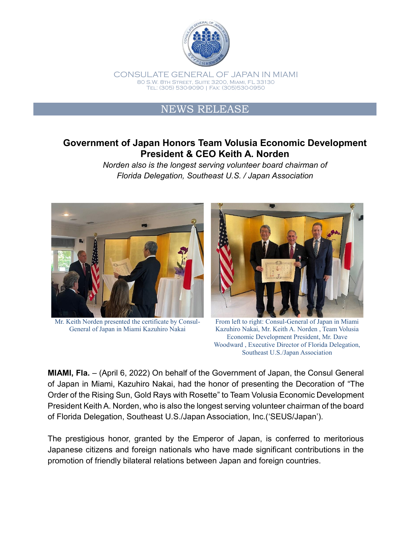

CONSULATE GENERAL OF JAPAN IN MIAMI 80 S.W. 8th Street, Suite 3200, Miami, FL 33130 Tel: (305) 530-9090 | Fax: (305)530-0950

## NEWS RELEASE

## **Government of Japan Honors Team Volusia Economic Development President & CEO Keith A. Norden**

*Norden also is the longest serving volunteer board chairman of Florida Delegation, Southeast U.S. / Japan Association*



Mr. Keith Norden presented the certificate by Consul-General of Japan in Miami Kazuhiro Nakai



From left to right: Consul-General of Japan in Miami Kazuhiro Nakai, Mr. Keith A. Norden , Team Volusia Economic Development President, Mr. Dave Woodward , Executive Director of Florida Delegation, Southeast U.S./Japan Association

**MIAMI, Fla.** – (April 6, 2022) On behalf of the Government of Japan, the Consul General of Japan in Miami, Kazuhiro Nakai, had the honor of presenting the Decoration of "The Order of the Rising Sun, Gold Rays with Rosette" to Team Volusia Economic Development President Keith A. Norden, who is also the longest serving volunteer chairman of the board of Florida Delegation, Southeast U.S./Japan Association, Inc.('SEUS/Japan').

The prestigious honor, granted by the Emperor of Japan, is conferred to meritorious Japanese citizens and foreign nationals who have made significant contributions in the promotion of friendly bilateral relations between Japan and foreign countries.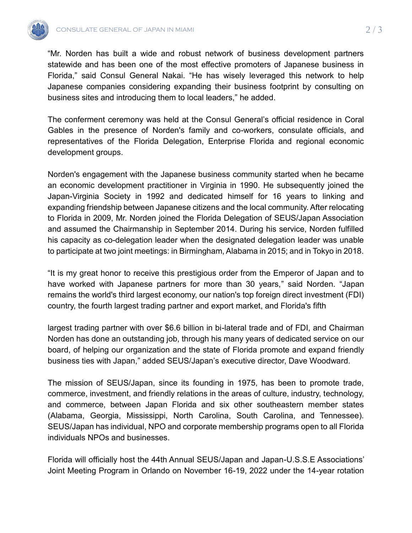

"Mr. Norden has built a wide and robust network of business development partners statewide and has been one of the most effective promoters of Japanese business in Florida," said Consul General Nakai. "He has wisely leveraged this network to help Japanese companies considering expanding their business footprint by consulting on business sites and introducing them to local leaders," he added.

The conferment ceremony was held at the Consul General's official residence in Coral Gables in the presence of Norden's family and co-workers, consulate officials, and representatives of the Florida Delegation, Enterprise Florida and regional economic development groups.

Norden's engagement with the Japanese business community started when he became an economic development practitioner in Virginia in 1990. He subsequently joined the Japan-Virginia Society in 1992 and dedicated himself for 16 years to linking and expanding friendship between Japanese citizens and the local community. After relocating to Florida in 2009, Mr. Norden joined the Florida Delegation of SEUS/Japan Association and assumed the Chairmanship in September 2014. During his service, Norden fulfilled his capacity as co-delegation leader when the designated delegation leader was unable to participate at two joint meetings: in Birmingham, Alabama in 2015; and in Tokyo in 2018.

"It is my great honor to receive this prestigious order from the Emperor of Japan and to have worked with Japanese partners for more than 30 years," said Norden. "Japan remains the world's third largest economy, our nation's top foreign direct investment (FDI) country, the fourth largest trading partner and export market, and Florida's fifth

largest trading partner with over \$6.6 billion in bi-lateral trade and of FDI, and Chairman Norden has done an outstanding job, through his many years of dedicated service on our board, of helping our organization and the state of Florida promote and expand friendly business ties with Japan," added SEUS/Japan's executive director, Dave Woodward.

The mission of SEUS/Japan, since its founding in 1975, has been to promote trade, commerce, investment, and friendly relations in the areas of culture, industry, technology, and commerce, between Japan Florida and six other southeastern member states (Alabama, Georgia, Mississippi, North Carolina, South Carolina, and Tennessee). SEUS/Japan has individual, NPO and corporate membership programs open to all Florida individuals NPOs and businesses.

Florida will officially host the 44th Annual SEUS/Japan and Japan-U.S.S.E Associations' Joint Meeting Program in Orlando on November 16-19, 2022 under the 14-year rotation